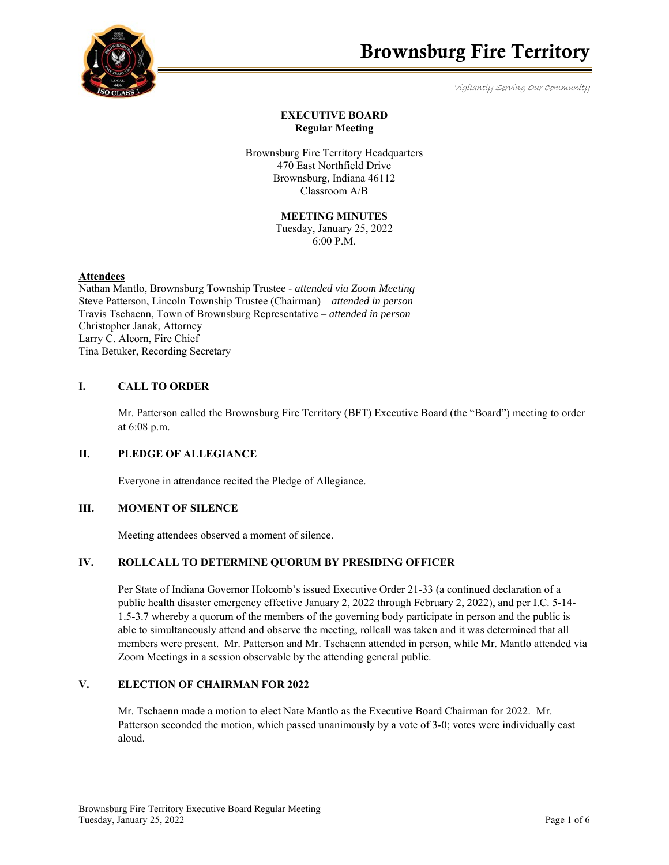

# **EXECUTIVE BOARD Regular Meeting**

Brownsburg Fire Territory Headquarters 470 East Northfield Drive Brownsburg, Indiana 46112 Classroom A/B

**MEETING MINUTES**

Tuesday, January 25, 2022 6:00 P.M.

#### **Attendees**

Nathan Mantlo, Brownsburg Township Trustee - *attended via Zoom Meeting*  Steve Patterson, Lincoln Township Trustee (Chairman) – *attended in person*  Travis Tschaenn, Town of Brownsburg Representative – *attended in person*  Christopher Janak, Attorney Larry C. Alcorn, Fire Chief Tina Betuker, Recording Secretary

### **I. CALL TO ORDER**

Mr. Patterson called the Brownsburg Fire Territory (BFT) Executive Board (the "Board") meeting to order at 6:08 p.m.

### **II. PLEDGE OF ALLEGIANCE**

Everyone in attendance recited the Pledge of Allegiance.

### **III. MOMENT OF SILENCE**

Meeting attendees observed a moment of silence.

### **IV. ROLLCALL TO DETERMINE QUORUM BY PRESIDING OFFICER**

Per State of Indiana Governor Holcomb's issued Executive Order 21-33 (a continued declaration of a public health disaster emergency effective January 2, 2022 through February 2, 2022), and per I.C. 5-14- 1.5-3.7 whereby a quorum of the members of the governing body participate in person and the public is able to simultaneously attend and observe the meeting, rollcall was taken and it was determined that all members were present. Mr. Patterson and Mr. Tschaenn attended in person, while Mr. Mantlo attended via Zoom Meetings in a session observable by the attending general public.

# **V. ELECTION OF CHAIRMAN FOR 2022**

Mr. Tschaenn made a motion to elect Nate Mantlo as the Executive Board Chairman for 2022. Mr. Patterson seconded the motion, which passed unanimously by a vote of 3-0; votes were individually cast aloud.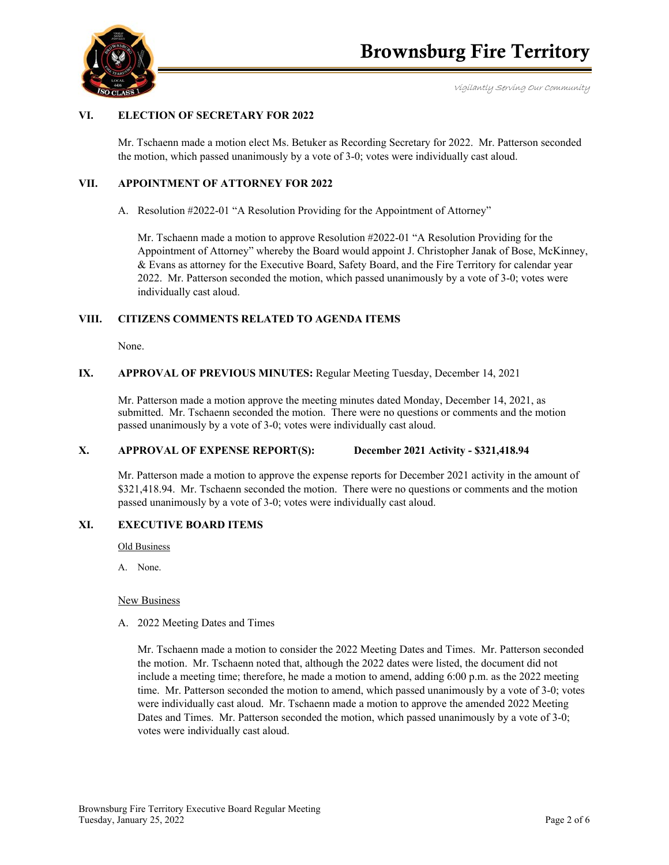

## **VI. ELECTION OF SECRETARY FOR 2022**

Mr. Tschaenn made a motion elect Ms. Betuker as Recording Secretary for 2022. Mr. Patterson seconded the motion, which passed unanimously by a vote of 3-0; votes were individually cast aloud.

# **VII. APPOINTMENT OF ATTORNEY FOR 2022**

A. Resolution #2022-01 "A Resolution Providing for the Appointment of Attorney"

Mr. Tschaenn made a motion to approve Resolution #2022-01 "A Resolution Providing for the Appointment of Attorney" whereby the Board would appoint J. Christopher Janak of Bose, McKinney, & Evans as attorney for the Executive Board, Safety Board, and the Fire Territory for calendar year 2022. Mr. Patterson seconded the motion, which passed unanimously by a vote of 3-0; votes were individually cast aloud.

### **VIII. CITIZENS COMMENTS RELATED TO AGENDA ITEMS**

None.

# **IX. APPROVAL OF PREVIOUS MINUTES:** Regular Meeting Tuesday, December 14, 2021

Mr. Patterson made a motion approve the meeting minutes dated Monday, December 14, 2021, as submitted. Mr. Tschaenn seconded the motion. There were no questions or comments and the motion passed unanimously by a vote of 3-0; votes were individually cast aloud.

### **X. APPROVAL OF EXPENSE REPORT(S): December 2021 Activity - \$321,418.94**

Mr. Patterson made a motion to approve the expense reports for December 2021 activity in the amount of \$321,418.94. Mr. Tschaenn seconded the motion. There were no questions or comments and the motion passed unanimously by a vote of 3-0; votes were individually cast aloud.

### **XI. EXECUTIVE BOARD ITEMS**

Old Business

A. None.

#### New Business

A. 2022 Meeting Dates and Times

Mr. Tschaenn made a motion to consider the 2022 Meeting Dates and Times. Mr. Patterson seconded the motion. Mr. Tschaenn noted that, although the 2022 dates were listed, the document did not include a meeting time; therefore, he made a motion to amend, adding 6:00 p.m. as the 2022 meeting time. Mr. Patterson seconded the motion to amend, which passed unanimously by a vote of 3-0; votes were individually cast aloud. Mr. Tschaenn made a motion to approve the amended 2022 Meeting Dates and Times. Mr. Patterson seconded the motion, which passed unanimously by a vote of 3-0; votes were individually cast aloud.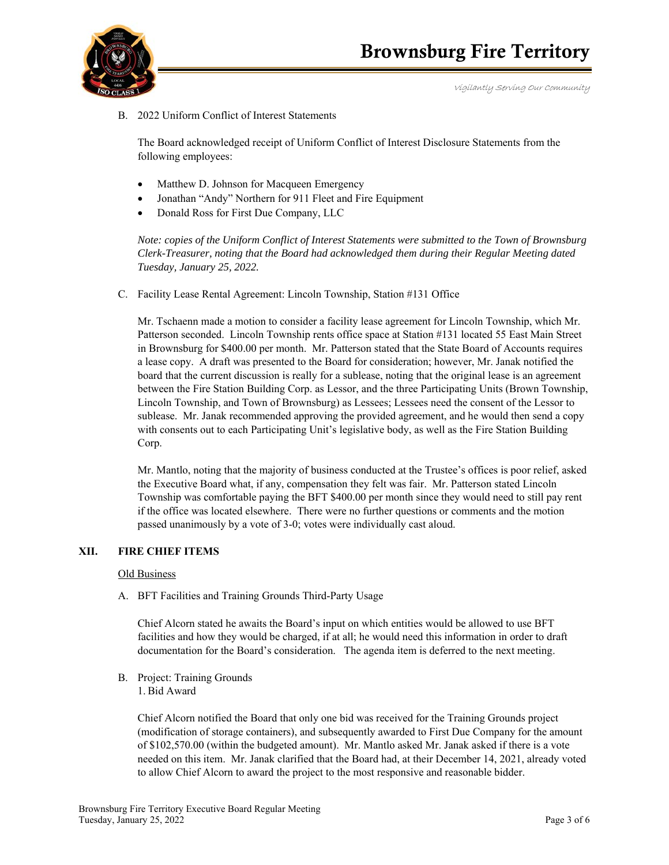

B. 2022 Uniform Conflict of Interest Statements

The Board acknowledged receipt of Uniform Conflict of Interest Disclosure Statements from the following employees:

- Matthew D. Johnson for Macqueen Emergency
- Jonathan "Andy" Northern for 911 Fleet and Fire Equipment
- Donald Ross for First Due Company, LLC

*Note: copies of the Uniform Conflict of Interest Statements were submitted to the Town of Brownsburg Clerk-Treasurer, noting that the Board had acknowledged them during their Regular Meeting dated Tuesday, January 25, 2022.*

C. Facility Lease Rental Agreement: Lincoln Township, Station #131 Office

Mr. Tschaenn made a motion to consider a facility lease agreement for Lincoln Township, which Mr. Patterson seconded. Lincoln Township rents office space at Station #131 located 55 East Main Street in Brownsburg for \$400.00 per month. Mr. Patterson stated that the State Board of Accounts requires a lease copy. A draft was presented to the Board for consideration; however, Mr. Janak notified the board that the current discussion is really for a sublease, noting that the original lease is an agreement between the Fire Station Building Corp. as Lessor, and the three Participating Units (Brown Township, Lincoln Township, and Town of Brownsburg) as Lessees; Lessees need the consent of the Lessor to sublease. Mr. Janak recommended approving the provided agreement, and he would then send a copy with consents out to each Participating Unit's legislative body, as well as the Fire Station Building Corp.

Mr. Mantlo, noting that the majority of business conducted at the Trustee's offices is poor relief, asked the Executive Board what, if any, compensation they felt was fair. Mr. Patterson stated Lincoln Township was comfortable paying the BFT \$400.00 per month since they would need to still pay rent if the office was located elsewhere. There were no further questions or comments and the motion passed unanimously by a vote of 3-0; votes were individually cast aloud.

### **XII. FIRE CHIEF ITEMS**

### Old Business

A. BFT Facilities and Training Grounds Third-Party Usage

Chief Alcorn stated he awaits the Board's input on which entities would be allowed to use BFT facilities and how they would be charged, if at all; he would need this information in order to draft documentation for the Board's consideration. The agenda item is deferred to the next meeting.

B. Project: Training Grounds 1. Bid Award

> Chief Alcorn notified the Board that only one bid was received for the Training Grounds project (modification of storage containers), and subsequently awarded to First Due Company for the amount of \$102,570.00 (within the budgeted amount). Mr. Mantlo asked Mr. Janak asked if there is a vote needed on this item. Mr. Janak clarified that the Board had, at their December 14, 2021, already voted to allow Chief Alcorn to award the project to the most responsive and reasonable bidder.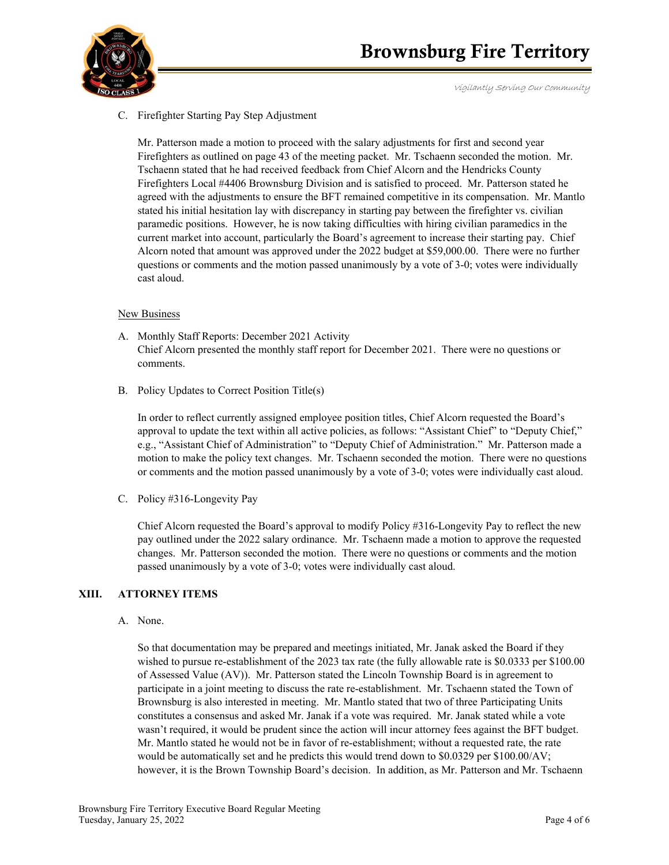

# C. Firefighter Starting Pay Step Adjustment

Mr. Patterson made a motion to proceed with the salary adjustments for first and second year Firefighters as outlined on page 43 of the meeting packet. Mr. Tschaenn seconded the motion. Mr. Tschaenn stated that he had received feedback from Chief Alcorn and the Hendricks County Firefighters Local #4406 Brownsburg Division and is satisfied to proceed. Mr. Patterson stated he agreed with the adjustments to ensure the BFT remained competitive in its compensation. Mr. Mantlo stated his initial hesitation lay with discrepancy in starting pay between the firefighter vs. civilian paramedic positions. However, he is now taking difficulties with hiring civilian paramedics in the current market into account, particularly the Board's agreement to increase their starting pay. Chief Alcorn noted that amount was approved under the 2022 budget at \$59,000.00. There were no further questions or comments and the motion passed unanimously by a vote of 3-0; votes were individually cast aloud.

### New Business

- A. Monthly Staff Reports: December 2021 Activity Chief Alcorn presented the monthly staff report for December 2021. There were no questions or comments.
- B. Policy Updates to Correct Position Title(s)

In order to reflect currently assigned employee position titles, Chief Alcorn requested the Board's approval to update the text within all active policies, as follows: "Assistant Chief" to "Deputy Chief," e.g., "Assistant Chief of Administration" to "Deputy Chief of Administration." Mr. Patterson made a motion to make the policy text changes. Mr. Tschaenn seconded the motion. There were no questions or comments and the motion passed unanimously by a vote of 3-0; votes were individually cast aloud.

C. Policy #316-Longevity Pay

Chief Alcorn requested the Board's approval to modify Policy #316-Longevity Pay to reflect the new pay outlined under the 2022 salary ordinance. Mr. Tschaenn made a motion to approve the requested changes. Mr. Patterson seconded the motion. There were no questions or comments and the motion passed unanimously by a vote of 3-0; votes were individually cast aloud.

### **XIII. ATTORNEY ITEMS**

A. None.

So that documentation may be prepared and meetings initiated, Mr. Janak asked the Board if they wished to pursue re-establishment of the 2023 tax rate (the fully allowable rate is \$0.0333 per \$100.00 of Assessed Value (AV)). Mr. Patterson stated the Lincoln Township Board is in agreement to participate in a joint meeting to discuss the rate re-establishment. Mr. Tschaenn stated the Town of Brownsburg is also interested in meeting. Mr. Mantlo stated that two of three Participating Units constitutes a consensus and asked Mr. Janak if a vote was required. Mr. Janak stated while a vote wasn't required, it would be prudent since the action will incur attorney fees against the BFT budget. Mr. Mantlo stated he would not be in favor of re-establishment; without a requested rate, the rate would be automatically set and he predicts this would trend down to \$0.0329 per \$100.00/AV; however, it is the Brown Township Board's decision. In addition, as Mr. Patterson and Mr. Tschaenn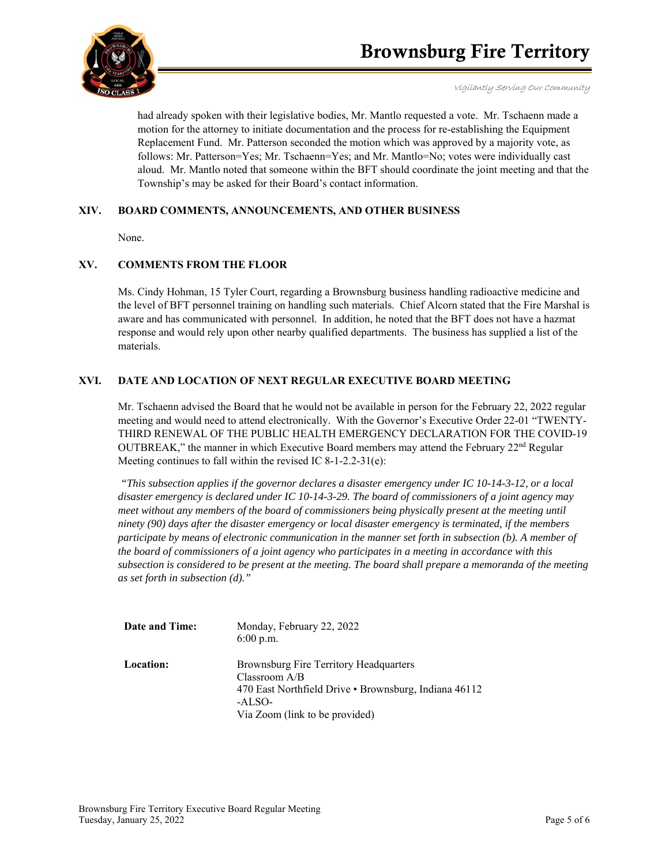

had already spoken with their legislative bodies, Mr. Mantlo requested a vote. Mr. Tschaenn made a motion for the attorney to initiate documentation and the process for re-establishing the Equipment Replacement Fund. Mr. Patterson seconded the motion which was approved by a majority vote, as follows: Mr. Patterson=Yes; Mr. Tschaenn=Yes; and Mr. Mantlo=No; votes were individually cast aloud. Mr. Mantlo noted that someone within the BFT should coordinate the joint meeting and that the Township's may be asked for their Board's contact information.

# **XIV. BOARD COMMENTS, ANNOUNCEMENTS, AND OTHER BUSINESS**

None.

# **XV. COMMENTS FROM THE FLOOR**

Ms. Cindy Hohman, 15 Tyler Court, regarding a Brownsburg business handling radioactive medicine and the level of BFT personnel training on handling such materials. Chief Alcorn stated that the Fire Marshal is aware and has communicated with personnel. In addition, he noted that the BFT does not have a hazmat response and would rely upon other nearby qualified departments. The business has supplied a list of the materials.

# **XVI. DATE AND LOCATION OF NEXT REGULAR EXECUTIVE BOARD MEETING**

Mr. Tschaenn advised the Board that he would not be available in person for the February 22, 2022 regular meeting and would need to attend electronically. With the Governor's Executive Order 22-01 "TWENTY-THIRD RENEWAL OF THE PUBLIC HEALTH EMERGENCY DECLARATION FOR THE COVID-19 OUTBREAK," the manner in which Executive Board members may attend the February  $22<sup>nd</sup>$  Regular Meeting continues to fall within the revised IC 8-1-2.2-31(e):

 *"This subsection applies if the governor declares a disaster emergency under IC 10-14-3-12, or a local disaster emergency is declared under IC 10-14-3-29. The board of commissioners of a joint agency may meet without any members of the board of commissioners being physically present at the meeting until ninety (90) days after the disaster emergency or local disaster emergency is terminated, if the members participate by means of electronic communication in the manner set forth in subsection (b). A member of the board of commissioners of a joint agency who participates in a meeting in accordance with this subsection is considered to be present at the meeting. The board shall prepare a memoranda of the meeting as set forth in subsection (d)."* 

| Date and Time:   | Monday, February 22, 2022<br>$6:00$ p.m.                                                                                                                       |
|------------------|----------------------------------------------------------------------------------------------------------------------------------------------------------------|
| <b>Location:</b> | Brownsburg Fire Territory Headquarters<br>Classroom $A/B$<br>470 East Northfield Drive • Brownsburg, Indiana 46112<br>-ALSO-<br>Via Zoom (link to be provided) |